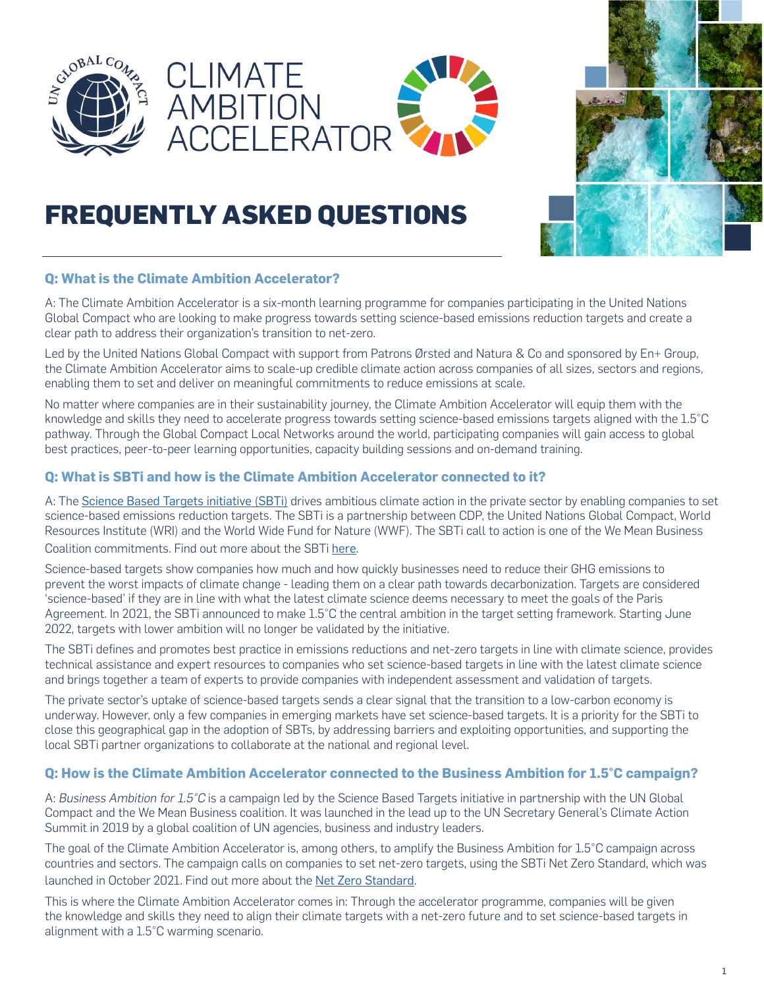





# **FREQUENTLY ASKED QUESTIONS**

## **Q: What is the Climate Ambition Accelerator?**

A: The Climate Ambition Accelerator is a six-month learning programme for companies participating in the United Nations Global Compact who are looking to make progress towards setting science-based emissions reduction targets and create a clear path to address their organization's transition to net-zero.

Led by the United Nations Global Compact with support from Patrons Ørsted and Natura & Co and sponsored by En+ Group, the Climate Ambition Accelerator aims to scale-up credible climate action across companies of all sizes, sectors and regions, enabling them to set and deliver on meaningful commitments to reduce emissions at scale.

No matter where companies are in their sustainability journey, the Climate Ambition Accelerator will equip them with the knowledge and skills they need to accelerate progress towards setting science-based emissions targets aligned with the 1.5°C pathway. Through the Global Compact Local Networks around the world, participating companies will gain access to global best practices, peer-to-peer learning opportunities, capacity building sessions and on-demand training.

## **Q: What is SBTi and how is the Climate Ambition Accelerator connected to it?**

A: The [Science Based Targets initiative \(SBTi\)](https://sciencebasedtargets.org/about-us#who-we-are) drives ambitious climate action in the private sector by enabling companies to set science-based emissions reduction targets. The SBTi is a partnership between CDP, the United Nations Global Compact, World Resources Institute (WRI) and the World Wide Fund for Nature (WWF). The SBTi call to action is one of the We Mean Business Coalition commitments. Find out more about the SBTi [here](https://sciencebasedtargets.org/faqs).

Science-based targets show companies how much and how quickly businesses need to reduce their GHG emissions to prevent the worst impacts of climate change - leading them on a clear path towards decarbonization. Targets are considered 'science-based' if they are in line with what the latest climate science deems necessary to meet the goals of the Paris Agreement. In 2021, the SBTi announced to make 1.5°C the central ambition in the target setting framework. Starting June 2022, targets with lower ambition will no longer be validated by the initiative.

The SBTi defines and promotes best practice in emissions reductions and net-zero targets in line with climate science, provides technical assistance and expert resources to companies who set science-based targets in line with the latest climate science and brings together a team of experts to provide companies with independent assessment and validation of targets.

The private sector's uptake of science-based targets sends a clear signal that the transition to a low-carbon economy is underway. However, only a few companies in emerging markets have set science-based targets. It is a priority for the SBTi to close this geographical gap in the adoption of SBTs, by addressing barriers and exploiting opportunities, and supporting the local SBTi partner organizations to collaborate at the national and regional level.

## **Q: How is the Climate Ambition Accelerator connected to the Business Ambition for 1.5°C campaign?**

A: Business Ambition for 1.5°C is a campaign led by the Science Based Targets initiative in partnership with the UN Global Compact and the We Mean Business coalition. It was launched in the lead up to the UN Secretary General's Climate Action Summit in 2019 by a global coalition of UN agencies, business and industry leaders.

The goal of the Climate Ambition Accelerator is, among others, to amplify the Business Ambition for 1.5°C campaign across countries and sectors. The campaign calls on companies to set net-zero targets, using the SBTi Net Zero Standard, which was launched in October 2021. Find out more about the [Net Zero Standard](https://sciencebasedtargets.org/net-zero).

This is where the Climate Ambition Accelerator comes in: Through the accelerator programme, companies will be given the knowledge and skills they need to align their climate targets with a net-zero future and to set science-based targets in alignment with a 1.5°C warming scenario.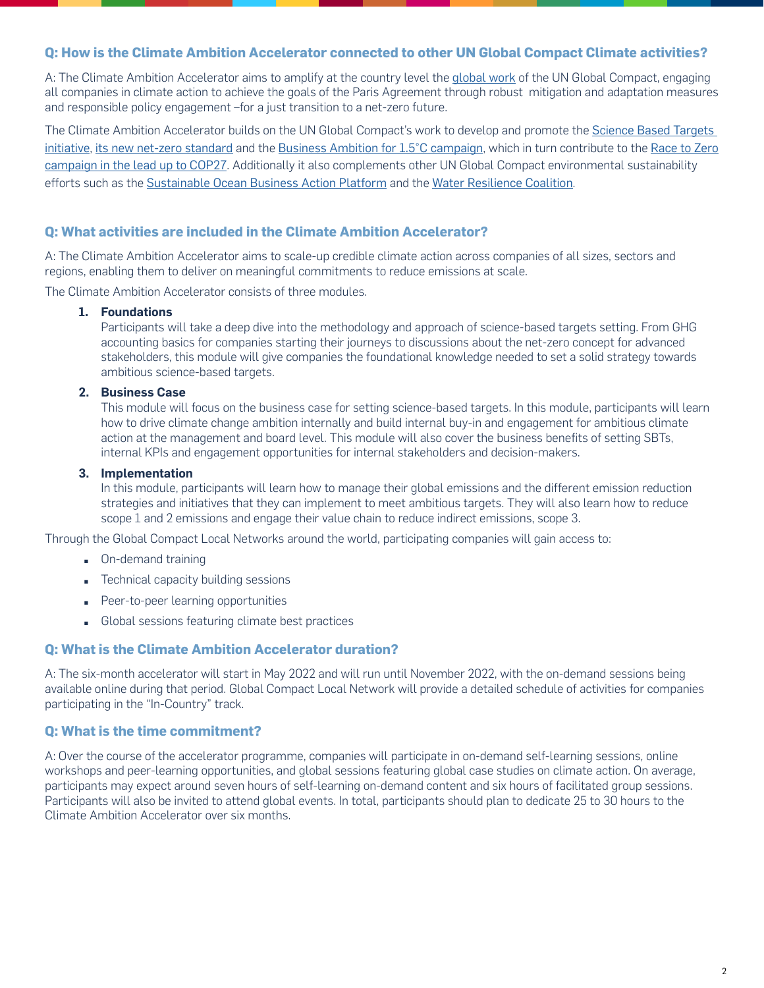## **Q: How is the Climate Ambition Accelerator connected to other UN Global Compact Climate activities?**

A: The Climate Ambition Accelerator aims to amplify at the country level the [global work](https://unglobalcompact.org/what-is-gc/our-work/environment/climate) of the UN Global Compact, engaging all companies in climate action to achieve the goals of the Paris Agreement through robust mitigation and adaptation measures and responsible policy engagement –for a just transition to a net-zero future.

The Climate Ambition Accelerator builds on the UN Global Compact's work to develop and promote the Science Based Targets [initiative](https://sciencebasedtargets.org/), [its new net-zero standard](http://sciencebasedtargets.org/net-zero) and the [Business Ambition for 1.5°C campaign](https://sciencebasedtargets.org/business-ambition-for-1-5c), which in turn contribute to the [Race to Zero](https://racetozero.unfccc.int/) [campaign in the lead up to COP2](https://racetozero.unfccc.int/)7. Additionally it also complements other UN Global Compact environmental sustainability efforts such as the [Sustainable Ocean Business Action Platform](https://www.unglobalcompact.org/take-action/action-platforms/ocean) and the [Water Resilience Coalition](https://ceowatermandate.org/resilience/?gclid=CjwKCAjwmv-DBhAMEiwA7xYrd36L6o2dALlcoyN3rwehPCAwhLpAuwMk-wO3eYvJE1Rlcw4OSzGsfxoCUEcQAvD_BwE).

#### **Q: What activities are included in the Climate Ambition Accelerator?**

A: The Climate Ambition Accelerator aims to scale-up credible climate action across companies of all sizes, sectors and regions, enabling them to deliver on meaningful commitments to reduce emissions at scale.

The Climate Ambition Accelerator consists of three modules.

#### **1. Foundations**

Participants will take a deep dive into the methodology and approach of science-based targets setting. From GHG accounting basics for companies starting their journeys to discussions about the net-zero concept for advanced stakeholders, this module will give companies the foundational knowledge needed to set a solid strategy towards ambitious science-based targets.

#### **2. Business Case**

This module will focus on the business case for setting science-based targets. In this module, participants will learn how to drive climate change ambition internally and build internal buy-in and engagement for ambitious climate action at the management and board level. This module will also cover the business benefits of setting SBTs, internal KPIs and engagement opportunities for internal stakeholders and decision-makers.

#### **3. Implementation**

In this module, participants will learn how to manage their global emissions and the different emission reduction strategies and initiatives that they can implement to meet ambitious targets. They will also learn how to reduce scope 1 and 2 emissions and engage their value chain to reduce indirect emissions, scope 3.

Through the Global Compact Local Networks around the world, participating companies will gain access to:

- **On-demand training**
- **EXECUTE:** Technical capacity building sessions
- **•** Peer-to-peer learning opportunities
- **.** Global sessions featuring climate best practices

#### **Q: What is the Climate Ambition Accelerator duration?**

A: The six-month accelerator will start in May 2022 and will run until November 2022, with the on-demand sessions being available online during that period. Global Compact Local Network will provide a detailed schedule of activities for companies participating in the "In-Country" track.

#### **Q: What is the time commitment?**

A: Over the course of the accelerator programme, companies will participate in on-demand self-learning sessions, online workshops and peer-learning opportunities, and global sessions featuring global case studies on climate action. On average, participants may expect around seven hours of self-learning on-demand content and six hours of facilitated group sessions. Participants will also be invited to attend global events. In total, participants should plan to dedicate 25 to 30 hours to the Climate Ambition Accelerator over six months.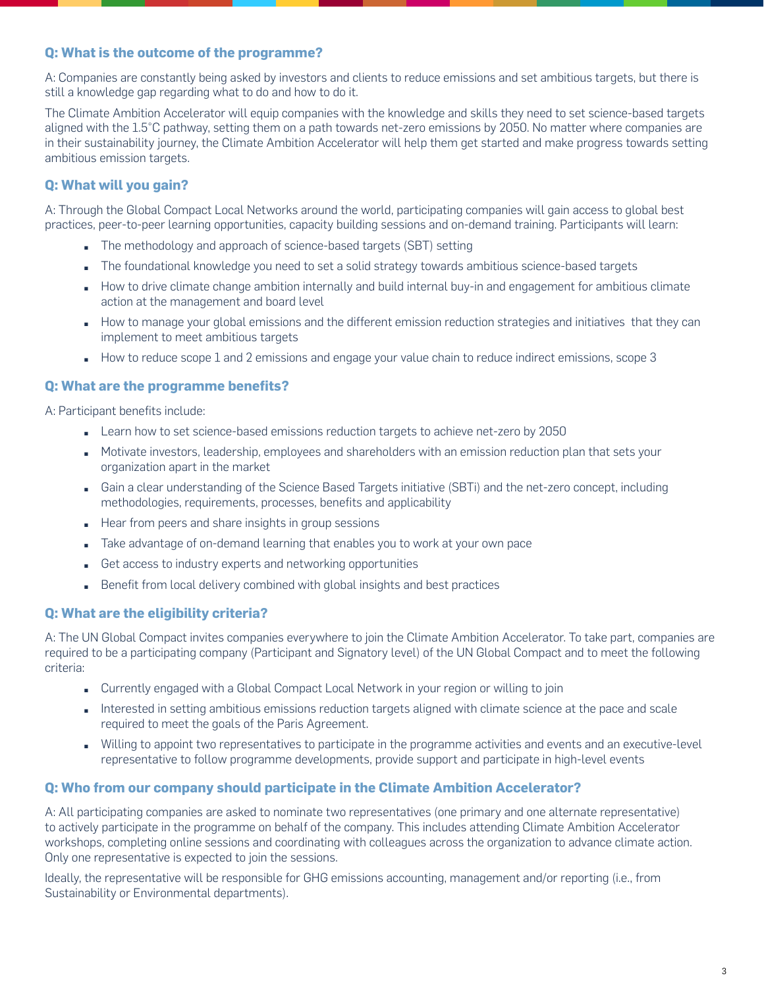### **Q: What is the outcome of the programme?**

A: Companies are constantly being asked by investors and clients to reduce emissions and set ambitious targets, but there is still a knowledge gap regarding what to do and how to do it.

The Climate Ambition Accelerator will equip companies with the knowledge and skills they need to set science-based targets aligned with the 1.5°C pathway, setting them on a path towards net-zero emissions by 2050. No matter where companies are in their sustainability journey, the Climate Ambition Accelerator will help them get started and make progress towards setting ambitious emission targets.

## **Q: What will you gain?**

A: Through the Global Compact Local Networks around the world, participating companies will gain access to global best practices, peer-to-peer learning opportunities, capacity building sessions and on-demand training. Participants will learn:

- **EXECUTE:** The methodology and approach of science-based targets (SBT) setting
- The foundational knowledge you need to set a solid strategy towards ambitious science-based targets
- How to drive climate change ambition internally and build internal buy-in and engagement for ambitious climate action at the management and board level
- How to manage your global emissions and the different emission reduction strategies and initiatives that they can implement to meet ambitious targets
- How to reduce scope 1 and 2 emissions and engage your value chain to reduce indirect emissions, scope 3

## **Q: What are the programme benefits?**

A: Participant benefits include:

- **Learn how to set science-based emissions reduction targets to achieve net-zero by 2050**
- **EX Motivate investors, leadership, employees and shareholders with an emission reduction plan that sets your** organization apart in the market
- Gain a clear understanding of the Science Based Targets initiative (SBTi) and the net-zero concept, including methodologies, requirements, processes, benefits and applicability
- **EXEC** Hear from peers and share insights in group sessions
- **EXEC** Take advantage of on-demand learning that enables you to work at your own pace
- Get access to industry experts and networking opportunities
- **EXECTE:** Benefit from local delivery combined with global insights and best practices

#### **Q: What are the eligibility criteria?**

A: The UN Global Compact invites companies everywhere to join the Climate Ambition Accelerator. To take part, companies are required to be a participating company (Participant and Signatory level) of the UN Global Compact and to meet the following criteria:

- Currently engaged with a Global Compact Local Network in your region or willing to join
- Interested in setting ambitious emissions reduction targets aligned with climate science at the pace and scale required to meet the goals of the Paris Agreement.
- Willing to appoint two representatives to participate in the programme activities and events and an executive-level representative to follow programme developments, provide support and participate in high-level events

#### **Q: Who from our company should participate in the Climate Ambition Accelerator?**

A: All participating companies are asked to nominate two representatives (one primary and one alternate representative) to actively participate in the programme on behalf of the company. This includes attending Climate Ambition Accelerator workshops, completing online sessions and coordinating with colleagues across the organization to advance climate action. Only one representative is expected to join the sessions.

Ideally, the representative will be responsible for GHG emissions accounting, management and/or reporting (i.e., from Sustainability or Environmental departments).